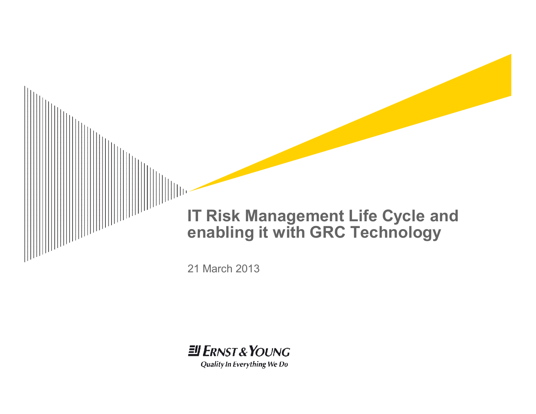



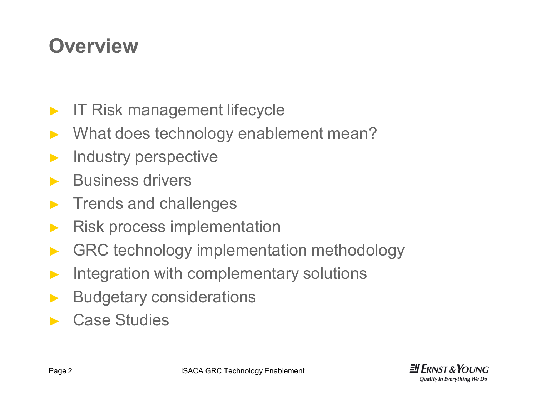### **Overview**

- IT Risk management lifecycle
- What does technology enablement mean?
- ► Industry perspective
- ► Business drivers
- ► Trends and challenges
- ► Risk process implementation
- GRC technology implementation methodology
- ► Integration with complementary solutions
- ► Budgetary considerations
- Case Studies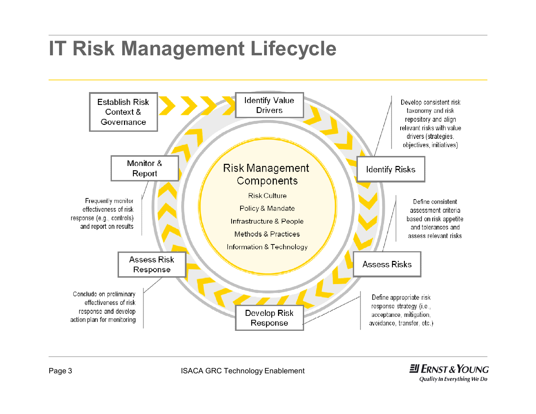## **IT Risk Management Lifecycle**

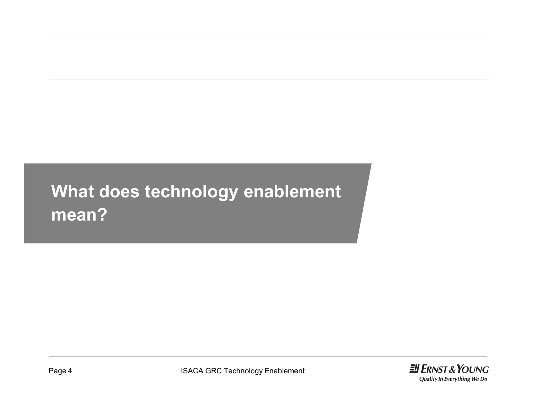### **What does technology enablement mean?**

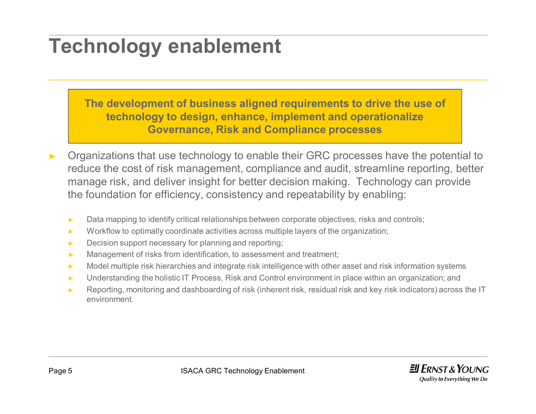### **Technology enablement**

**The development of business aligned requirements to drive the use of technology to design, enhance, implement and operationalize Governance, Risk and Compliance processes**

- Organizations that use technology to enable their GRC processes have the potential to reduce the cost of risk management, compliance and audit, streamline reporting, better manage risk, and deliver insight for better decision making. Technology can provide the foundation for efficiency, consistency and repeatability by enabling:
	- ► Data mapping to identify critical relationships between corporate objectives, risks and controls;
	- ► Workflow to optimally coordinate activities across multiple layers of the organization;
	- ► Decision support necessary for planning and reporting;
	- ► Management of risks from identification, to assessment and treatment;
	- ► Model multiple risk hierarchies and integrate risk intelligence with other asset and risk information systems
	- ► Understanding the holistic IT Process, Risk and Control environment in place within an organization; and
	- ► Reporting, monitoring and dashboarding of risk (inherent risk, residual risk and key risk indicators) across the IT environment.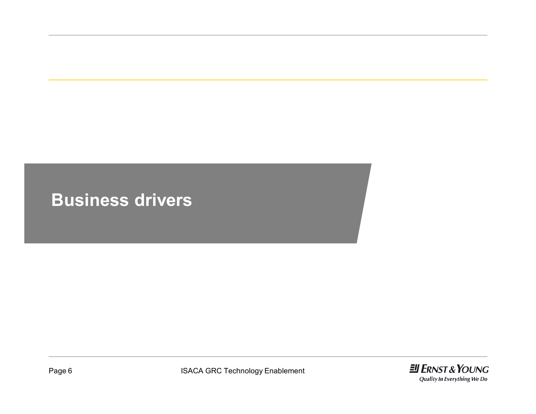#### **Business drivers**

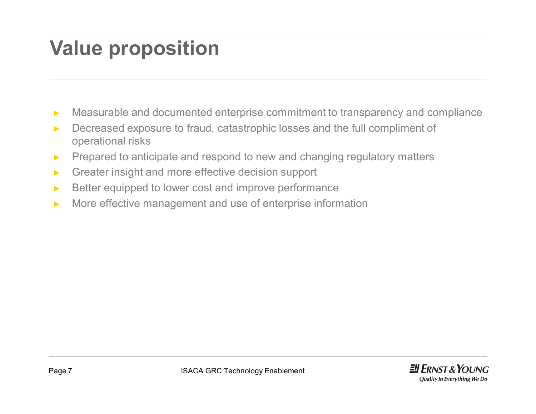### **Value proposition**

- ► Measurable and documented enterprise commitment to transparency and compliance
- ► Decreased exposure to fraud, catastrophic losses and the full compliment of operational risks
- ► Prepared to anticipate and respond to new and changing regulatory matters
- ► Greater insight and more effective decision support
- ► Better equipped to lower cost and improve performance
- ► More effective management and use of enterprise information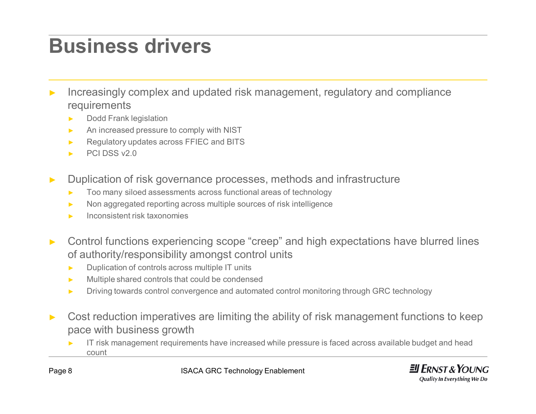### **Business drivers**

- Increasingly complex and updated risk management, regulatory and compliance requirements
	- ► Dodd Frank legislation
	- ► An increased pressure to comply with NIST
	- ► Regulatory updates across FFIEC and BITS
	- ► PCI DSS v2.0
- ► Duplication of risk governance processes, methods and infrastructure
	- Too many siloed assessments across functional areas of technology
	- Non aggregated reporting across multiple sources of risk intelligence
	- Inconsistent risk taxonomies
- ► Control functions experiencing scope "creep" and high expectations have blurred lines of authority/responsibility amongst control units
	- ► Duplication of controls across multiple IT units
	- ► Multiple shared controls that could be condensed
	- ► Driving towards control convergence and automated control monitoring through GRC technology
- Cost reduction imperatives are limiting the ability of risk management functions to keep pace with business growth
	- IT risk management requirements have increased while pressure is faced across available budget and head count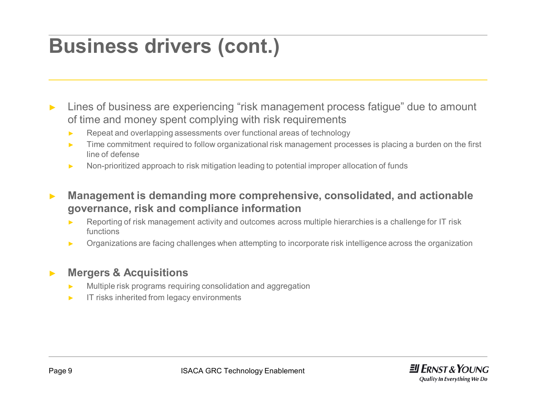### **Business drivers (cont.)**

- Lines of business are experiencing "risk management process fatigue" due to amount of time and money spent complying with risk requirements
	- ► Repeat and overlapping assessments over functional areas of technology
	- ► Time commitment required to follow organizational risk management processes is placing a burden on the first line of defense
	- ► Non-prioritized approach to risk mitigation leading to potential improper allocation of funds
- ► **Management is demanding more comprehensive, consolidated, and actionable governance, risk and compliance information**
	- Reporting of risk management activity and outcomes across multiple hierarchies is a challenge for IT risk functions
	- ► Organizations are facing challenges when attempting to incorporate risk intelligence across the organization

#### ► **Mergers & Acquisitions**

- Multiple risk programs requiring consolidation and aggregation
- IT risks inherited from legacy environments

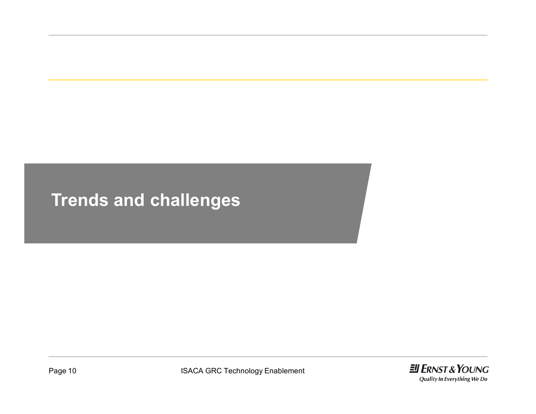### **Trends and challenges**

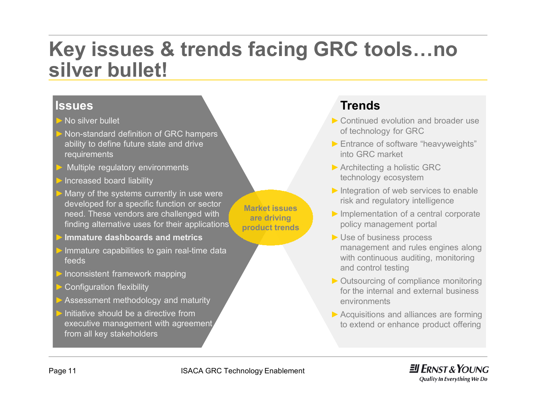### **Key issues & trends facing GRC tools…no silver bullet!**

#### **Issues**

- ►No silver bullet
- ►Non-standard definition of GRC hampers ability to define future state and drive requirements
- Multiple regulatory environments
- Increased board liability
- Many of the systems currently in use were developed for a specific function or sector need. These vendors are challenged with finding alternative uses for their applications
- ►**Immature dashboards and metrics**
- Immature capabilities to gain real-time data feeds
- Inconsistent framework mapping
- Configuration flexibility
- Assessment methodology and maturity
- Initiative should be a directive from executive management with agreement from all key stakeholders

**Market issues are driving product trends**

#### **Trends**

- ►Continued evolution and broader use of technology for GRC
- ►Entrance of software "heavyweights" into GRC market
- ►Architecting a holistic GRC technology ecosystem
- $\triangleright$  Integration of web services to enable risk and regulatory intelligence
- ►Implementation of a central corporate policy management portal
- ►Use of business process management and rules engines along with continuous auditing, monitoring and control testing
- ►Outsourcing of compliance monitoring for the internal and external business environments
- ▶ Acquisitions and alliances are forming to extend or enhance product offering

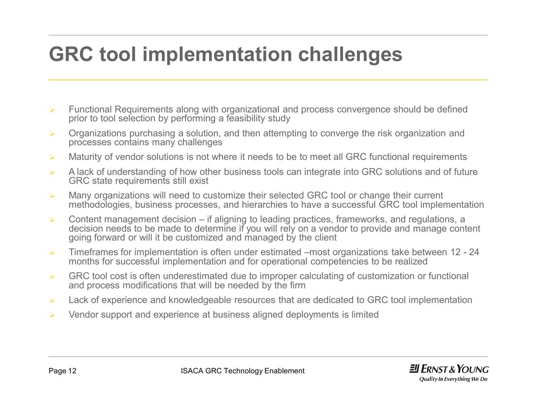### **GRC tool implementation challenges**

- $\triangleright$  Functional Requirements along with organizational and process convergence should be defined prior to tool selection by performing a feasibility study
- $\triangleright$  Organizations purchasing a solution, and then attempting to converge the risk organization and processes contains many challenges
- $\triangleright$  Maturity of vendor solutions is not where it needs to be to meet all GRC functional requirements
- $\triangleright$  A lack of understanding of how other business tools can integrate into GRC solutions and of future GRC state requirements still exist
- $\triangleright$  Many organizations will need to customize their selected GRC tool or change their current methodologies, business processes, and hierarchies to have a successful GRC tool implementation
- $\triangleright$  Content management decision if aligning to leading practices, frameworks, and regulations, a decision needs to be made to determine if you will rely on a vendor to provide and manage content going forward or will it be customized and managed by the client
- $\triangleright$  Timeframes for implementation is often under estimated –most organizations take between 12 24 months for successful implementation and for operational competencies to be realized
- $\triangleright$  GRC tool cost is often underestimated due to improper calculating of customization or functional and process modifications that will be needed by the firm
- $\triangleright$  Lack of experience and knowledgeable resources that are dedicated to GRC tool implementation
- $\triangleright$  Vendor support and experience at business aligned deployments is limited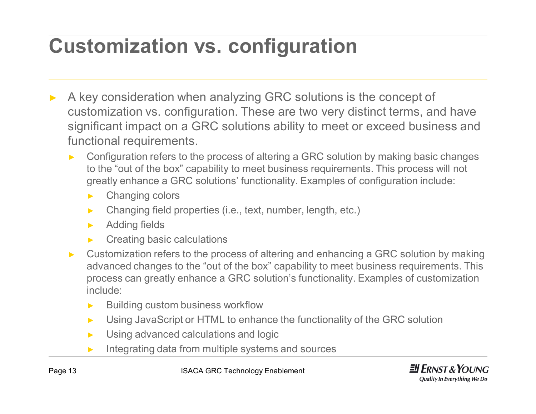## **Customization vs. configuration**

- A key consideration when analyzing GRC solutions is the concept of customization vs. configuration. These are two very distinct terms, and have significant impact on a GRC solutions ability to meet or exceed business and functional requirements.
	- Configuration refers to the process of altering a GRC solution by making basic changes to the "out of the box" capability to meet business requirements. This process will not greatly enhance a GRC solutions' functionality. Examples of configuration include:
		- ► Changing colors
		- ► Changing field properties (i.e., text, number, length, etc.)
		- ► Adding fields
		- Creating basic calculations
	- ► Customization refers to the process of altering and enhancing a GRC solution by making advanced changes to the "out of the box" capability to meet business requirements. This process can greatly enhance a GRC solution's functionality. Examples of customization include:
		- ► Building custom business workflow
		- ► Using JavaScript or HTML to enhance the functionality of the GRC solution
		- ► Using advanced calculations and logic
		- ► Integrating data from multiple systems and sources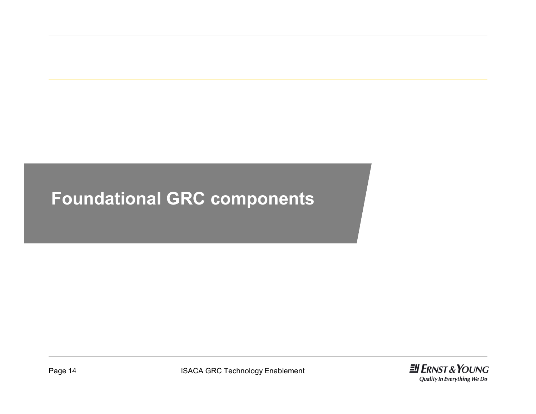### **Foundational GRC components**

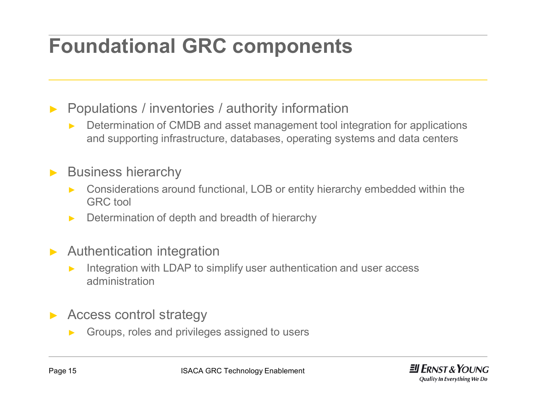## **Foundational GRC components**

► Populations / inventories / authority information

- Determination of CMDB and asset management tool integration for applications and supporting infrastructure, databases, operating systems and data centers
- ► Business hierarchy
	- ► Considerations around functional, LOB or entity hierarchy embedded within the GRC tool
	- Determination of depth and breadth of hierarchy
- ► Authentication integration
	- ► Integration with LDAP to simplify user authentication and user access administration
- Access control strategy
	- Groups, roles and privileges assigned to users

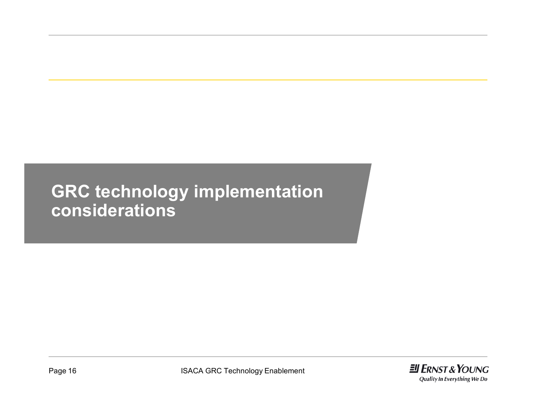### **GRC technology implementation considerations**

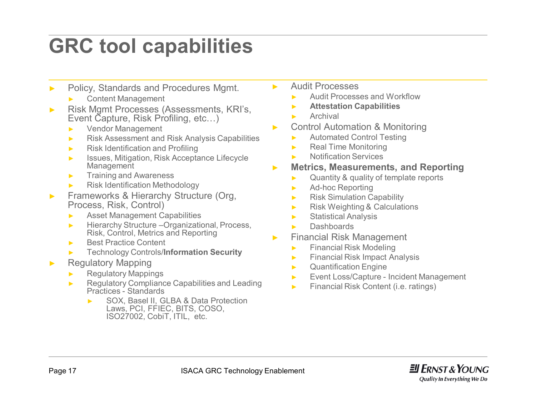### **GRC tool capabilities**

- ► Policy, Standards and Procedures Mgmt.
	- ► Content Management
- ► Risk Mgmt Processes (Assessments, KRI's, Event Capture, Risk Profiling, etc…)
	- ► Vendor Management
	- ► Risk Assessment and Risk Analysis Capabilities
	- ► Risk Identification and Profiling
	- ► Issues, Mitigation, Risk Acceptance Lifecycle **Management**
	- ► Training and Awareness
	- ► Risk Identification Methodology
- ► Frameworks & Hierarchy Structure (Org, Process, Risk, Control)
	- ► Asset Management Capabilities
	- ► Hierarchy Structure –Organizational, Process, Risk, Control, Metrics and Reporting
	- ► Best Practice Content
	- ► Technology Controls/**Information Security**
- ► Regulatory Mapping
	- ► Regulatory Mappings
	- ► Regulatory Compliance Capabilities and Leading Practices - Standards
		- ► SOX, Basel II, GLBA & Data Protection Laws, PCI, FFIEC, BITS, COSO, ISO27002, CobiT, ITIL, etc.
- ► Audit Processes
	- Audit Processes and Workflow
	- ► **Attestation Capabilities**
	- ► Archival
- ► Control Automation & Monitoring
	- ► Automated Control Testing
	- ► Real Time Monitoring
	- ► Notification Services
- ► **Metrics, Measurements, and Reporting**
	- ► Quantity & quality of template reports
	- ► Ad-hoc Reporting
	- ► Risk Simulation Capability
	- ► Risk Weighting & Calculations
	- ► Statistical Analysis
	- ► Dashboards
- ► Financial Risk Management
	- ► Financial Risk Modeling
	- ► Financial Risk Impact Analysis
	- ► Quantification Engine
	- ► Event Loss/Capture Incident Management
	- ► Financial Risk Content (i.e. ratings)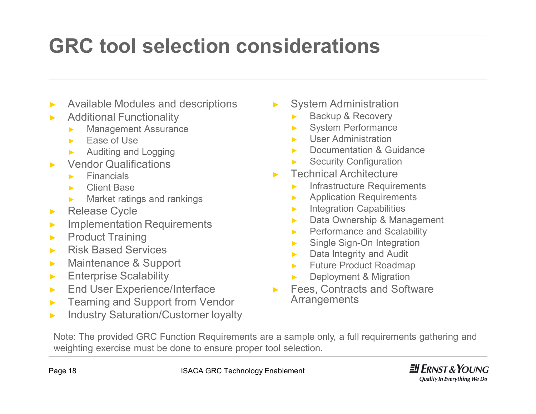## **GRC tool selection considerations**

- Available Modules and descriptions
- **Additional Functionality** 
	- ► Management Assurance
	- ► Ease of Use
	- ► Auditing and Logging
- **Vendor Qualifications** 
	- ► Financials
	- ► Client Base
	- ► Market ratings and rankings
- ► Release Cycle
- ► Implementation Requirements
- ► Product Training
- ► Risk Based Services
- ► Maintenance & Support
- ► Enterprise Scalability
- ► End User Experience/Interface
- ► Teaming and Support from Vendor
- ► Industry Saturation/Customer loyalty
- ► System Administration
	- Backup & Recovery
	- ► System Performance
	- User Administration
	- ► Documentation & Guidance
	- **Security Configuration**
- **Technical Architecture** 
	- ► Infrastructure Requirements
	- ► Application Requirements
	- ► Integration Capabilities
	- ► Data Ownership & Management
	- ► Performance and Scalability
	- ► Single Sign-On Integration
	- ► Data Integrity and Audit
	- ► Future Product Roadmap
	- Deployment & Migration
- Fees, Contracts and Software Arrangements

Note: The provided GRC Function Requirements are a sample only, a full requirements gathering and weighting exercise must be done to ensure proper tool selection.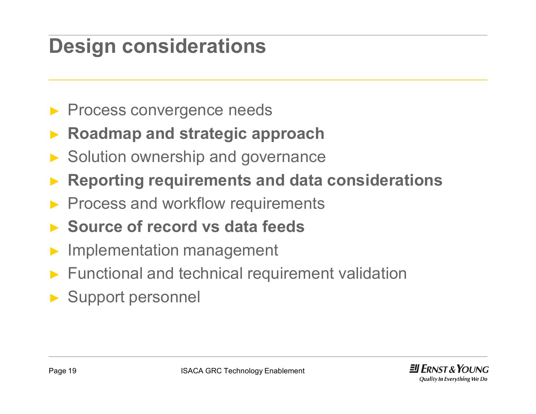## **Design considerations**

- ▶ Process convergence needs
- ► **Roadmap and strategic approach**
- ► Solution ownership and governance
- ► **Reporting requirements and data considerations**
- Process and workflow requirements
- ► **Source of record vs data feeds**
- Implementation management
- ► Functional and technical requirement validation
- ► Support personnel

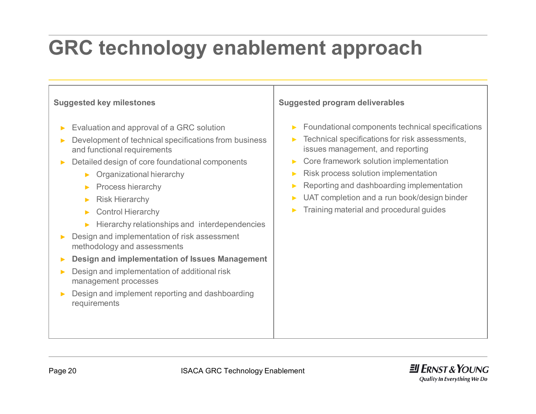# **GRC technology enablement approach**

#### **Suggested key milestones**

- Evaluation and approval of a GRC solution
- Development of technical specifications from business and functional requirements
- ► Detailed design of core foundational components
	- ► Organizational hierarchy
	- ► Process hierarchy
	- Risk Hierarchy
	- ► Control Hierarchy
	- ► Hierarchy relationships and interdependencies
- ► Design and implementation of risk assessment methodology and assessments
- ► **Design and implementation of Issues Management**
- ► Design and implementation of additional risk management processes
- ► Design and implement reporting and dashboarding requirements

#### **Suggested program deliverables**

- ► Foundational components technical specifications
- $\blacktriangleright$  Technical specifications for risk assessments, issues management, and reporting
- ► Core framework solution implementation
- Risk process solution implementation
- Reporting and dashboarding implementation
- UAT completion and a run book/design binder
- ► Training material and procedural guides

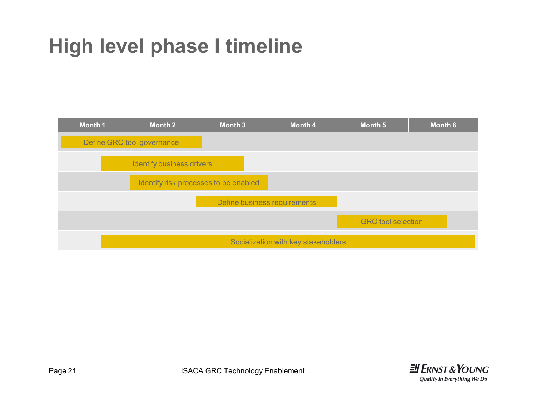## **High level phase I timeline**



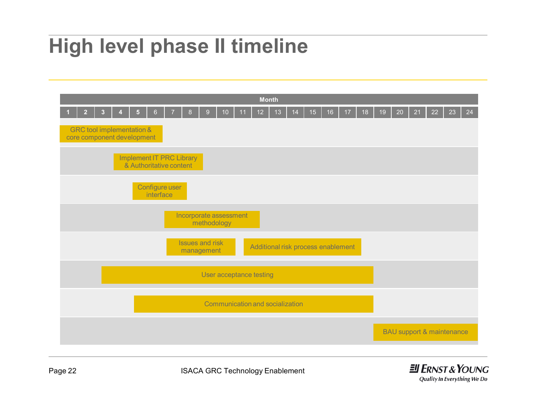### **High level phase II timeline**



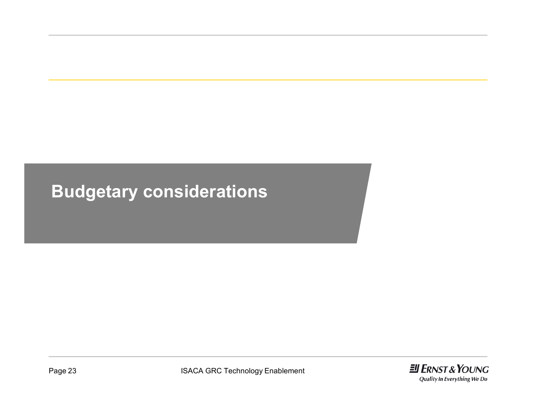### **Budgetary considerations**